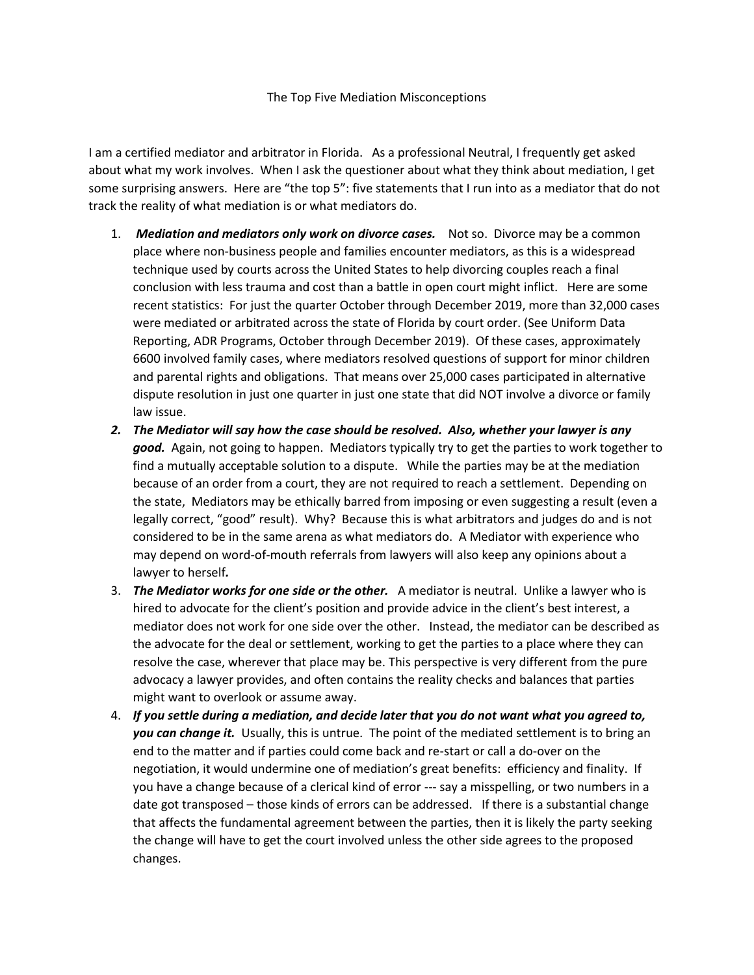I am a certified mediator and arbitrator in Florida. As a professional Neutral, I frequently get asked about what my work involves. When I ask the questioner about what they think about mediation, I get some surprising answers. Here are "the top 5": five statements that I run into as a mediator that do not track the reality of what mediation is or what mediators do.

- 1. *Mediation and mediators only work on divorce cases.* Not so. Divorce may be a common place where non-business people and families encounter mediators, as this is a widespread technique used by courts across the United States to help divorcing couples reach a final conclusion with less trauma and cost than a battle in open court might inflict. Here are some recent statistics: For just the quarter October through December 2019, more than 32,000 cases were mediated or arbitrated across the state of Florida by court order. (See Uniform Data Reporting, ADR Programs, October through December 2019). Of these cases, approximately 6600 involved family cases, where mediators resolved questions of support for minor children and parental rights and obligations. That means over 25,000 cases participated in alternative dispute resolution in just one quarter in just one state that did NOT involve a divorce or family law issue.
- *2. The Mediator will say how the case should be resolved. Also, whether your lawyer is any good.* Again, not going to happen. Mediators typically try to get the parties to work together to find a mutually acceptable solution to a dispute. While the parties may be at the mediation because of an order from a court, they are not required to reach a settlement. Depending on the state, Mediators may be ethically barred from imposing or even suggesting a result (even a legally correct, "good" result). Why? Because this is what arbitrators and judges do and is not considered to be in the same arena as what mediators do. A Mediator with experience who may depend on word-of-mouth referrals from lawyers will also keep any opinions about a lawyer to herself*.*
- 3. *The Mediator works for one side or the other.* A mediator is neutral. Unlike a lawyer who is hired to advocate for the client's position and provide advice in the client's best interest, a mediator does not work for one side over the other. Instead, the mediator can be described as the advocate for the deal or settlement, working to get the parties to a place where they can resolve the case, wherever that place may be. This perspective is very different from the pure advocacy a lawyer provides, and often contains the reality checks and balances that parties might want to overlook or assume away.
- 4. *If you settle during a mediation, and decide later that you do not want what you agreed to, you can change it.* Usually, this is untrue. The point of the mediated settlement is to bring an end to the matter and if parties could come back and re-start or call a do-over on the negotiation, it would undermine one of mediation's great benefits: efficiency and finality. If you have a change because of a clerical kind of error --- say a misspelling, or two numbers in a date got transposed – those kinds of errors can be addressed. If there is a substantial change that affects the fundamental agreement between the parties, then it is likely the party seeking the change will have to get the court involved unless the other side agrees to the proposed changes.